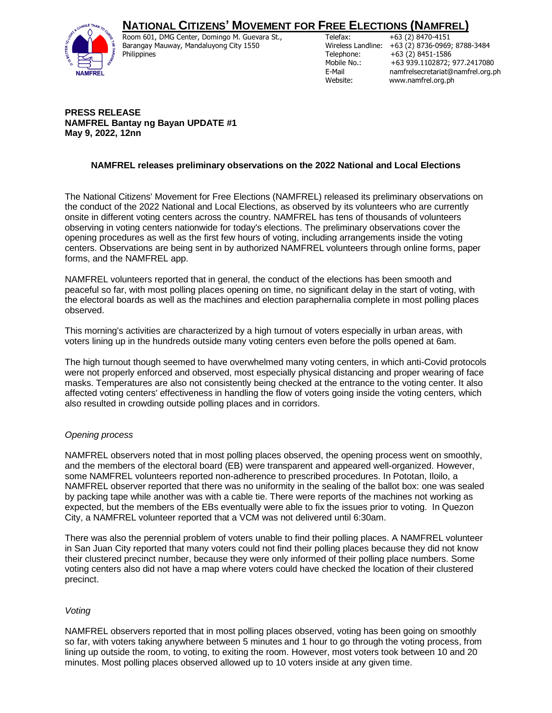# **NATIONAL CITIZENS' MOVEMENT FOR FREE ELECTIONS (NAMFREL)**



Room 601, DMG Center, Domingo M. Guevara St., Barangay Mauway, Mandaluyong City 1550 Philippines

Telefax: +63 (2) 8470-4151 Wireless Landline: +63 (2) 8736-0969; 8788-3484 Telephone: +63 (2) 8451-1586<br>Mobile No.: +63 939.1102872; +63 939.1102872; 977.2417080 E-Mail namfrelsecretariat@namfrel.org.ph Website: www.namfrel.org.ph

#### **PRESS RELEASE NAMFREL Bantay ng Bayan UPDATE #1 May 9, 2022, 12nn**

## **NAMFREL releases preliminary observations on the 2022 National and Local Elections**

The National Citizens' Movement for Free Elections (NAMFREL) released its preliminary observations on the conduct of the 2022 National and Local Elections, as observed by its volunteers who are currently onsite in different voting centers across the country. NAMFREL has tens of thousands of volunteers observing in voting centers nationwide for today's elections. The preliminary observations cover the opening procedures as well as the first few hours of voting, including arrangements inside the voting centers. Observations are being sent in by authorized NAMFREL volunteers through online forms, paper forms, and the NAMFREL app.

NAMFREL volunteers reported that in general, the conduct of the elections has been smooth and peaceful so far, with most polling places opening on time, no significant delay in the start of voting, with the electoral boards as well as the machines and election paraphernalia complete in most polling places observed.

This morning's activities are characterized by a high turnout of voters especially in urban areas, with voters lining up in the hundreds outside many voting centers even before the polls opened at 6am.

The high turnout though seemed to have overwhelmed many voting centers, in which anti-Covid protocols were not properly enforced and observed, most especially physical distancing and proper wearing of face masks. Temperatures are also not consistently being checked at the entrance to the voting center. It also affected voting centers' effectiveness in handling the flow of voters going inside the voting centers, which also resulted in crowding outside polling places and in corridors.

## *Opening process*

NAMFREL observers noted that in most polling places observed, the opening process went on smoothly, and the members of the electoral board (EB) were transparent and appeared well-organized. However, some NAMFREL volunteers reported non-adherence to prescribed procedures. In Pototan, Iloilo, a NAMFREL observer reported that there was no uniformity in the sealing of the ballot box: one was sealed by packing tape while another was with a cable tie. There were reports of the machines not working as expected, but the members of the EBs eventually were able to fix the issues prior to voting. In Quezon City, a NAMFREL volunteer reported that a VCM was not delivered until 6:30am.

There was also the perennial problem of voters unable to find their polling places. A NAMFREL volunteer in San Juan City reported that many voters could not find their polling places because they did not know their clustered precinct number, because they were only informed of their polling place numbers. Some voting centers also did not have a map where voters could have checked the location of their clustered precinct.

## *Voting*

NAMFREL observers reported that in most polling places observed, voting has been going on smoothly so far, with voters taking anywhere between 5 minutes and 1 hour to go through the voting process, from lining up outside the room, to voting, to exiting the room. However, most voters took between 10 and 20 minutes. Most polling places observed allowed up to 10 voters inside at any given time.